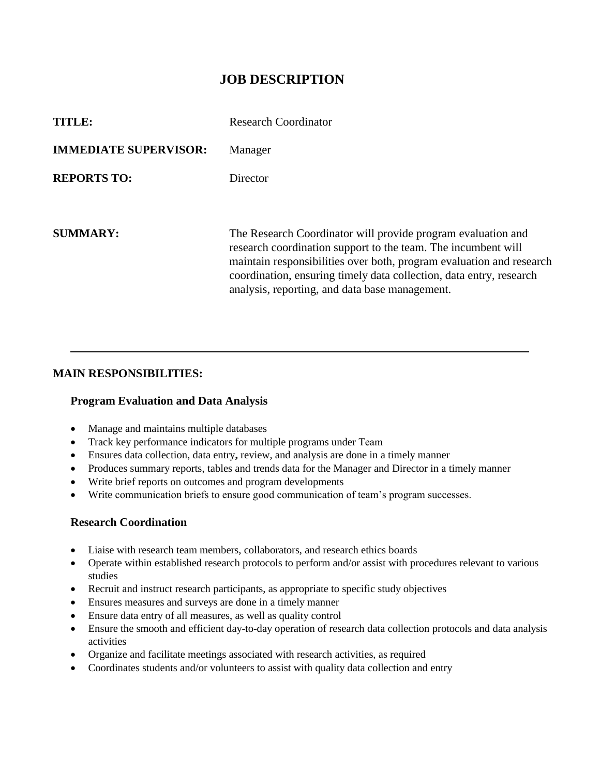# **JOB DESCRIPTION**

| TITLE:                       | Research Coordinator                                                                                                                                                                                                                                                                                                           |
|------------------------------|--------------------------------------------------------------------------------------------------------------------------------------------------------------------------------------------------------------------------------------------------------------------------------------------------------------------------------|
| <b>IMMEDIATE SUPERVISOR:</b> | Manager                                                                                                                                                                                                                                                                                                                        |
| <b>REPORTS TO:</b>           | Director                                                                                                                                                                                                                                                                                                                       |
|                              |                                                                                                                                                                                                                                                                                                                                |
| SUMMARY:                     | The Research Coordinator will provide program evaluation and<br>research coordination support to the team. The incumbent will<br>maintain responsibilities over both, program evaluation and research<br>coordination, ensuring timely data collection, data entry, research<br>analysis, reporting, and data base management. |

## **MAIN RESPONSIBILITIES:**

#### **Program Evaluation and Data Analysis**

- Manage and maintains multiple databases
- Track key performance indicators for multiple programs under Team
- Ensures data collection, data entry**,** review, and analysis are done in a timely manner
- Produces summary reports, tables and trends data for the Manager and Director in a timely manner
- Write brief reports on outcomes and program developments
- Write communication briefs to ensure good communication of team's program successes.

### **Research Coordination**

- Liaise with research team members, collaborators, and research ethics boards
- Operate within established research protocols to perform and/or assist with procedures relevant to various studies
- Recruit and instruct research participants, as appropriate to specific study objectives
- Ensures measures and surveys are done in a timely manner
- Ensure data entry of all measures, as well as quality control
- Ensure the smooth and efficient day-to-day operation of research data collection protocols and data analysis activities
- Organize and facilitate meetings associated with research activities, as required
- Coordinates students and/or volunteers to assist with quality data collection and entry